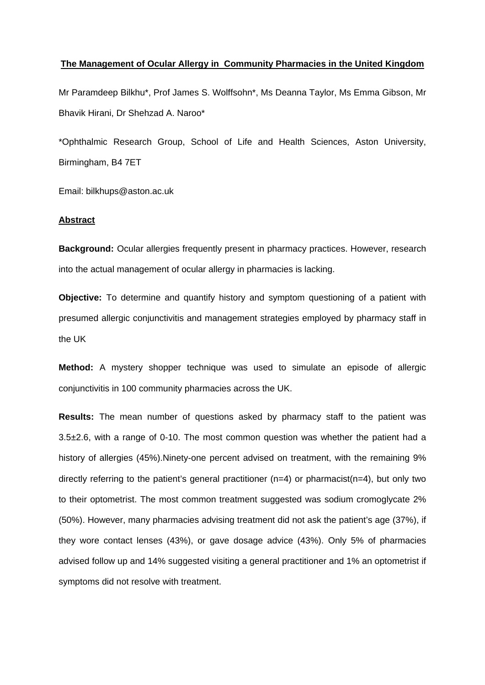#### **The Management of Ocular Allergy in Community Pharmacies in the United Kingdom**

Mr Paramdeep Bilkhu\*, Prof James S. Wolffsohn\*, Ms Deanna Taylor, Ms Emma Gibson, Mr Bhavik Hirani, Dr Shehzad A. Naroo\*

\*Ophthalmic Research Group, School of Life and Health Sciences, Aston University, Birmingham, B4 7ET

Email: bilkhups@aston.ac.uk

### **Abstract**

**Background:** Ocular allergies frequently present in pharmacy practices. However, research into the actual management of ocular allergy in pharmacies is lacking.

**Objective:** To determine and quantify history and symptom questioning of a patient with presumed allergic conjunctivitis and management strategies employed by pharmacy staff in the UK

**Method:** A mystery shopper technique was used to simulate an episode of allergic conjunctivitis in 100 community pharmacies across the UK.

**Results:** The mean number of questions asked by pharmacy staff to the patient was 3.5±2.6, with a range of 0-10. The most common question was whether the patient had a history of allergies (45%).Ninety-one percent advised on treatment, with the remaining 9% directly referring to the patient's general practitioner  $(n=4)$  or pharmacist $(n=4)$ , but only two to their optometrist. The most common treatment suggested was sodium cromoglycate 2% (50%). However, many pharmacies advising treatment did not ask the patient's age (37%), if they wore contact lenses (43%), or gave dosage advice (43%). Only 5% of pharmacies advised follow up and 14% suggested visiting a general practitioner and 1% an optometrist if symptoms did not resolve with treatment.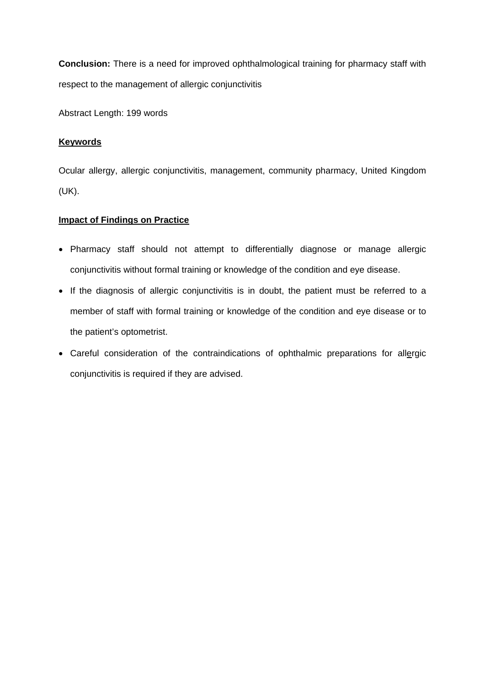**Conclusion:** There is a need for improved ophthalmological training for pharmacy staff with respect to the management of allergic conjunctivitis

Abstract Length: 199 words

## **Keywords**

Ocular allergy, allergic conjunctivitis, management, community pharmacy, United Kingdom (UK).

### **Impact of Findings on Practice**

- Pharmacy staff should not attempt to differentially diagnose or manage allergic conjunctivitis without formal training or knowledge of the condition and eye disease.
- If the diagnosis of allergic conjunctivitis is in doubt, the patient must be referred to a member of staff with formal training or knowledge of the condition and eye disease or to the patient's optometrist.
- Careful consideration of the contraindications of ophthalmic preparations for allergic conjunctivitis is required if they are advised.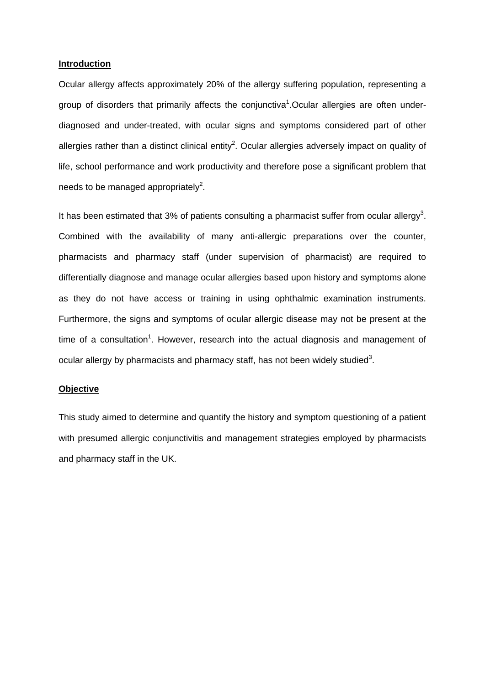#### **Introduction**

Ocular allergy affects approximately 20% of the allergy suffering population, representing a group of disorders that primarily affects the conjunctiva<sup>1</sup>. Ocular allergies are often underdiagnosed and under-treated, with ocular signs and symptoms considered part of other allergies rather than a distinct clinical entity<sup>2</sup>. Ocular allergies adversely impact on quality of life, school performance and work productivity and therefore pose a significant problem that needs to be managed appropriately<sup>2</sup>.

It has been estimated that 3% of patients consulting a pharmacist suffer from ocular allergy<sup>3</sup>. Combined with the availability of many anti-allergic preparations over the counter, pharmacists and pharmacy staff (under supervision of pharmacist) are required to differentially diagnose and manage ocular allergies based upon history and symptoms alone as they do not have access or training in using ophthalmic examination instruments. Furthermore, the signs and symptoms of ocular allergic disease may not be present at the time of a consultation<sup>1</sup>. However, research into the actual diagnosis and management of ocular allergy by pharmacists and pharmacy staff, has not been widely studied<sup>3</sup>.

### **Objective**

This study aimed to determine and quantify the history and symptom questioning of a patient with presumed allergic conjunctivitis and management strategies employed by pharmacists and pharmacy staff in the UK.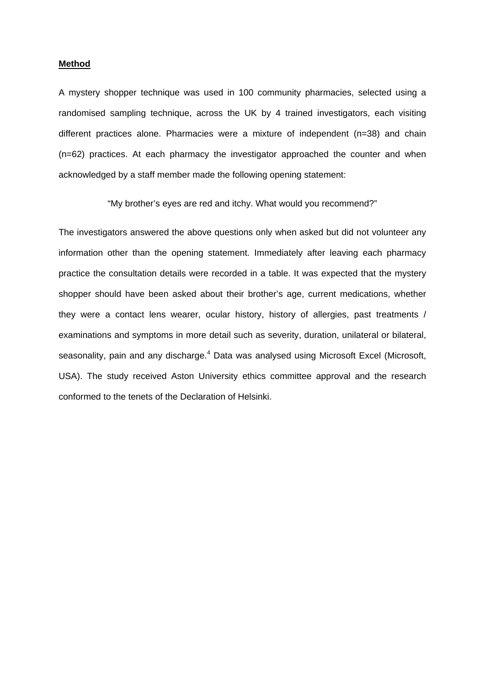#### **Method**

A mystery shopper technique was used in 100 community pharmacies, selected using a randomised sampling technique, across the UK by 4 trained investigators, each visiting different practices alone. Pharmacies were a mixture of independent (n=38) and chain (n=62) practices. At each pharmacy the investigator approached the counter and when acknowledged by a staff member made the following opening statement:

"My brother's eyes are red and itchy. What would you recommend?"

The investigators answered the above questions only when asked but did not volunteer any information other than the opening statement. Immediately after leaving each pharmacy practice the consultation details were recorded in a table. It was expected that the mystery shopper should have been asked about their brother's age, current medications, whether they were a contact lens wearer, ocular history, history of allergies, past treatments / examinations and symptoms in more detail such as severity, duration, unilateral or bilateral, seasonality, pain and any discharge.<sup>4</sup> Data was analysed using Microsoft Excel (Microsoft, USA). The study received Aston University ethics committee approval and the research conformed to the tenets of the Declaration of Helsinki.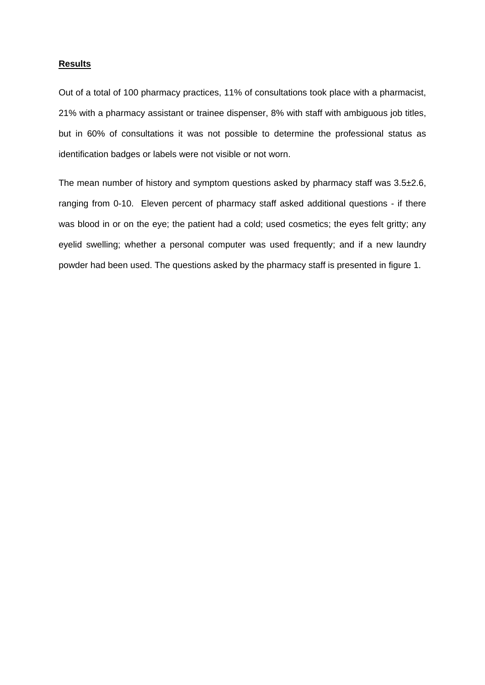#### **Results**

Out of a total of 100 pharmacy practices, 11% of consultations took place with a pharmacist, 21% with a pharmacy assistant or trainee dispenser, 8% with staff with ambiguous job titles, but in 60% of consultations it was not possible to determine the professional status as identification badges or labels were not visible or not worn.

The mean number of history and symptom questions asked by pharmacy staff was 3.5±2.6, ranging from 0-10. Eleven percent of pharmacy staff asked additional questions - if there was blood in or on the eye; the patient had a cold; used cosmetics; the eyes felt gritty; any eyelid swelling; whether a personal computer was used frequently; and if a new laundry powder had been used. The questions asked by the pharmacy staff is presented in figure 1.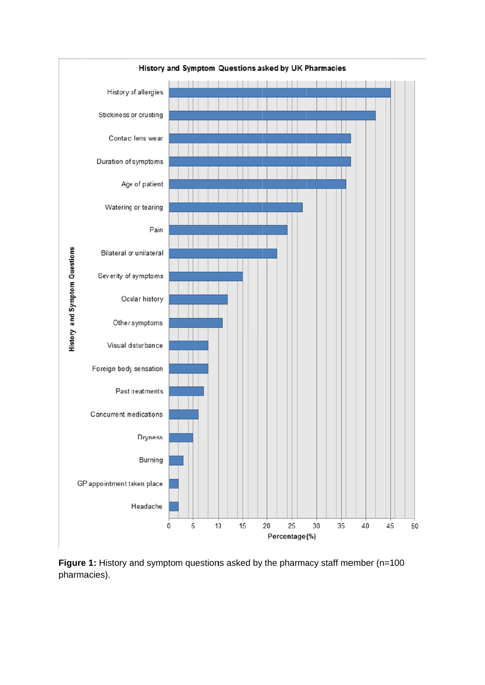

**Figure 1:** History and symptom questions asked by the pharmacy staff member (n=100 pharma acies).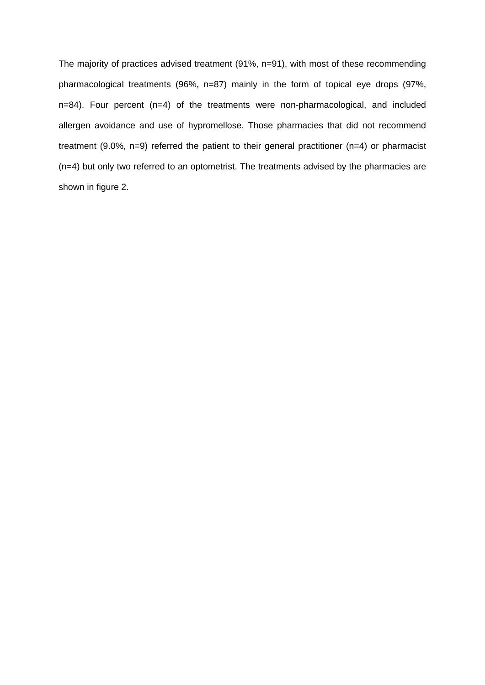The majority of practices advised treatment (91%, n=91), with most of these recommending pharmacological treatments (96%, n=87) mainly in the form of topical eye drops (97%, n=84). Four percent (n=4) of the treatments were non-pharmacological, and included allergen avoidance and use of hypromellose. Those pharmacies that did not recommend treatment (9.0%, n=9) referred the patient to their general practitioner (n=4) or pharmacist (n=4) but only two referred to an optometrist. The treatments advised by the pharmacies are shown in figure 2.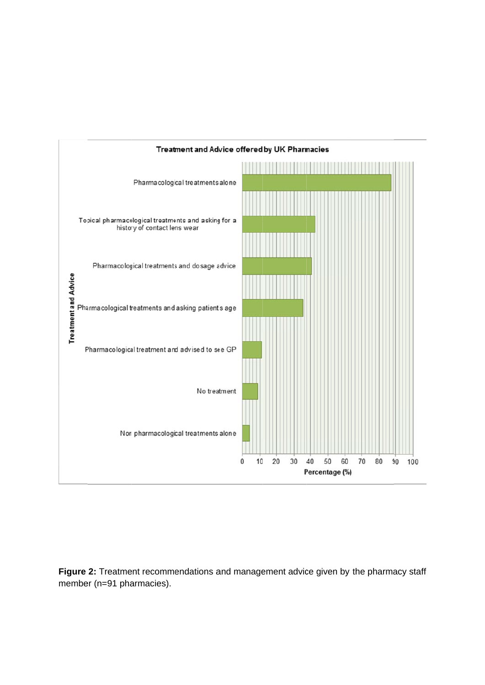

**Figure 2:** Treatment recommendations and management advice given by the pharmacy staff member (n=91 pharmacies).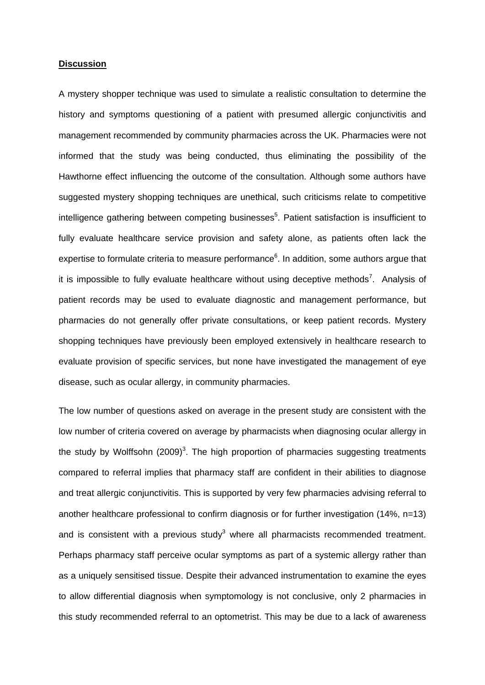#### **Discussion**

A mystery shopper technique was used to simulate a realistic consultation to determine the history and symptoms questioning of a patient with presumed allergic conjunctivitis and management recommended by community pharmacies across the UK. Pharmacies were not informed that the study was being conducted, thus eliminating the possibility of the Hawthorne effect influencing the outcome of the consultation. Although some authors have suggested mystery shopping techniques are unethical, such criticisms relate to competitive intelligence gathering between competing businesses<sup>5</sup>. Patient satisfaction is insufficient to fully evaluate healthcare service provision and safety alone, as patients often lack the expertise to formulate criteria to measure performance $6$ . In addition, some authors argue that it is impossible to fully evaluate healthcare without using deceptive methods<sup>7</sup>. Analysis of patient records may be used to evaluate diagnostic and management performance, but pharmacies do not generally offer private consultations, or keep patient records. Mystery shopping techniques have previously been employed extensively in healthcare research to evaluate provision of specific services, but none have investigated the management of eye disease, such as ocular allergy, in community pharmacies.

The low number of questions asked on average in the present study are consistent with the low number of criteria covered on average by pharmacists when diagnosing ocular allergy in the study by Wolffsohn (2009)<sup>3</sup>. The high proportion of pharmacies suggesting treatments compared to referral implies that pharmacy staff are confident in their abilities to diagnose and treat allergic conjunctivitis. This is supported by very few pharmacies advising referral to another healthcare professional to confirm diagnosis or for further investigation (14%, n=13) and is consistent with a previous study<sup>3</sup> where all pharmacists recommended treatment. Perhaps pharmacy staff perceive ocular symptoms as part of a systemic allergy rather than as a uniquely sensitised tissue. Despite their advanced instrumentation to examine the eyes to allow differential diagnosis when symptomology is not conclusive, only 2 pharmacies in this study recommended referral to an optometrist. This may be due to a lack of awareness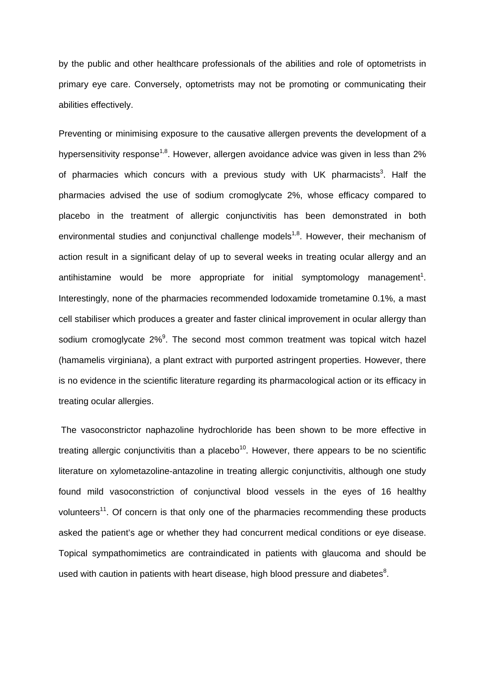by the public and other healthcare professionals of the abilities and role of optometrists in primary eye care. Conversely, optometrists may not be promoting or communicating their abilities effectively.

Preventing or minimising exposure to the causative allergen prevents the development of a hypersensitivity response<sup>1,8</sup>. However, allergen avoidance advice was given in less than  $2\%$ of pharmacies which concurs with a previous study with UK pharmacists<sup>3</sup>. Half the pharmacies advised the use of sodium cromoglycate 2%, whose efficacy compared to placebo in the treatment of allergic conjunctivitis has been demonstrated in both environmental studies and conjunctival challenge models<sup>1,8</sup>. However, their mechanism of action result in a significant delay of up to several weeks in treating ocular allergy and an antihistamine would be more appropriate for initial symptomology management<sup>1</sup>. Interestingly, none of the pharmacies recommended lodoxamide trometamine 0.1%, a mast cell stabiliser which produces a greater and faster clinical improvement in ocular allergy than sodium cromoglycate 2%<sup>9</sup>. The second most common treatment was topical witch hazel (hamamelis virginiana), a plant extract with purported astringent properties. However, there is no evidence in the scientific literature regarding its pharmacological action or its efficacy in treating ocular allergies.

 The vasoconstrictor naphazoline hydrochloride has been shown to be more effective in treating allergic conjunctivitis than a placebo<sup>10</sup>. However, there appears to be no scientific literature on xylometazoline-antazoline in treating allergic conjunctivitis, although one study found mild vasoconstriction of conjunctival blood vessels in the eyes of 16 healthy volunteers<sup>11</sup>. Of concern is that only one of the pharmacies recommending these products asked the patient's age or whether they had concurrent medical conditions or eye disease. Topical sympathomimetics are contraindicated in patients with glaucoma and should be used with caution in patients with heart disease, high blood pressure and diabetes $8$ .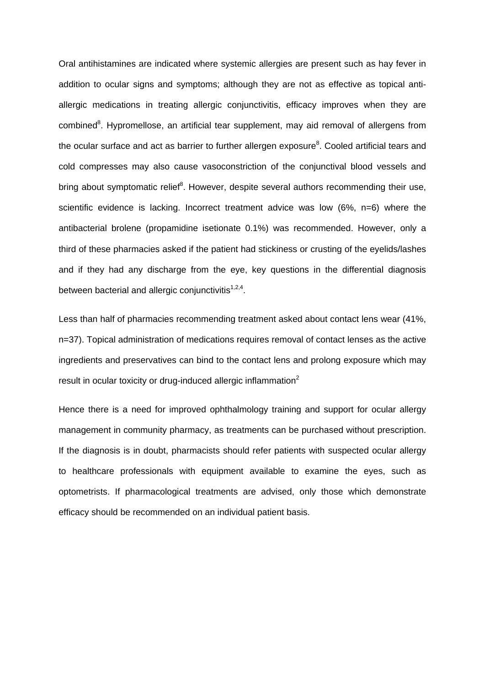Oral antihistamines are indicated where systemic allergies are present such as hay fever in addition to ocular signs and symptoms; although they are not as effective as topical antiallergic medications in treating allergic conjunctivitis, efficacy improves when they are combined<sup>8</sup>. Hypromellose, an artificial tear supplement, may aid removal of allergens from the ocular surface and act as barrier to further allergen exposure $8$ . Cooled artificial tears and cold compresses may also cause vasoconstriction of the conjunctival blood vessels and bring about symptomatic relief<sup>8</sup>. However, despite several authors recommending their use, scientific evidence is lacking. Incorrect treatment advice was low (6%, n=6) where the antibacterial brolene (propamidine isetionate 0.1%) was recommended. However, only a third of these pharmacies asked if the patient had stickiness or crusting of the eyelids/lashes and if they had any discharge from the eye, key questions in the differential diagnosis between bacterial and allergic conjunctivitis $1,2,4$ .

Less than half of pharmacies recommending treatment asked about contact lens wear (41%, n=37). Topical administration of medications requires removal of contact lenses as the active ingredients and preservatives can bind to the contact lens and prolong exposure which may result in ocular toxicity or drug-induced allergic inflammation $2$ 

Hence there is a need for improved ophthalmology training and support for ocular allergy management in community pharmacy, as treatments can be purchased without prescription. If the diagnosis is in doubt, pharmacists should refer patients with suspected ocular allergy to healthcare professionals with equipment available to examine the eyes, such as optometrists. If pharmacological treatments are advised, only those which demonstrate efficacy should be recommended on an individual patient basis.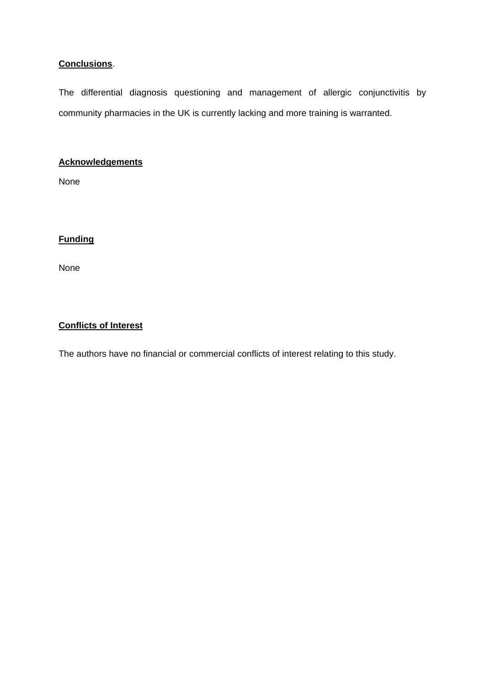# **Conclusions**.

The differential diagnosis questioning and management of allergic conjunctivitis by community pharmacies in the UK is currently lacking and more training is warranted.

# **Acknowledgements**

None

# **Funding**

None

## **Conflicts of Interest**

The authors have no financial or commercial conflicts of interest relating to this study.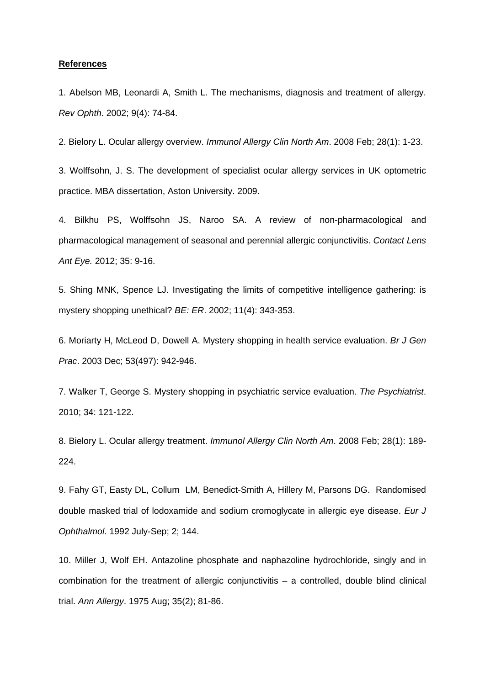#### **References**

1. Abelson MB, Leonardi A, Smith L. The mechanisms, diagnosis and treatment of allergy. *Rev Ophth*. 2002; 9(4): 74-84.

2. Bielory L. Ocular allergy overview. *Immunol Allergy Clin North Am*. 2008 Feb; 28(1): 1-23.

3. Wolffsohn, J. S. The development of specialist ocular allergy services in UK optometric practice. MBA dissertation, Aston University. 2009.

4. Bilkhu PS, Wolffsohn JS, Naroo SA. A review of non-pharmacological and pharmacological management of seasonal and perennial allergic conjunctivitis. *Contact Lens Ant Eye.* 2012; 35: 9-16.

5. Shing MNK, Spence LJ. Investigating the limits of competitive intelligence gathering: is mystery shopping unethical? *BE: ER*. 2002; 11(4): 343-353.

6. Moriarty H, McLeod D, Dowell A. Mystery shopping in health service evaluation. *Br J Gen Prac*. 2003 Dec; 53(497): 942-946.

7. Walker T, George S. Mystery shopping in psychiatric service evaluation. *The Psychiatrist*. 2010; 34: 121-122.

8. Bielory L. Ocular allergy treatment. *Immunol Allergy Clin North Am*. 2008 Feb; 28(1): 189- 224.

9. Fahy GT, Easty DL, Collum LM, Benedict-Smith A, Hillery M, Parsons DG. Randomised double masked trial of lodoxamide and sodium cromoglycate in allergic eye disease. *Eur J Ophthalmol*. 1992 July-Sep; 2; 144.

10. Miller J, Wolf EH. Antazoline phosphate and naphazoline hydrochloride, singly and in combination for the treatment of allergic conjunctivitis – a controlled, double blind clinical trial. *Ann Allergy*. 1975 Aug; 35(2); 81-86.